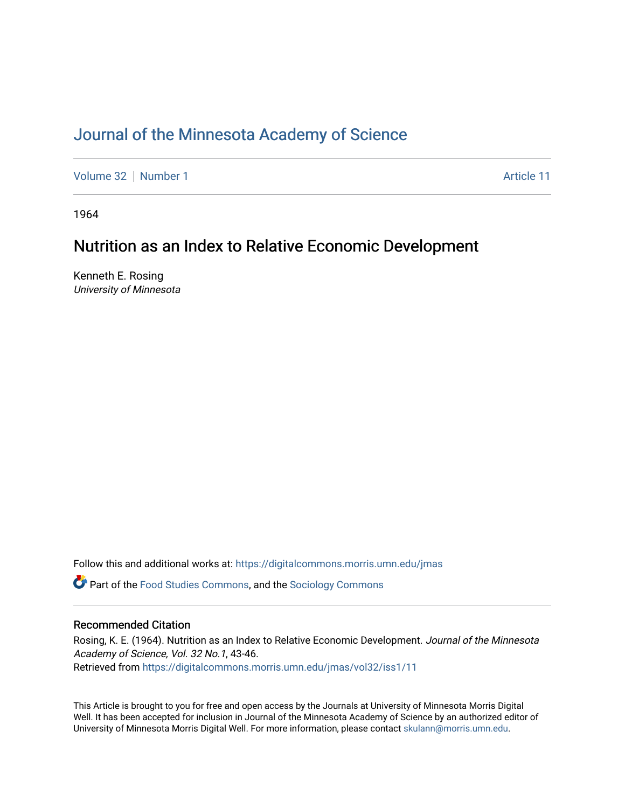# [Journal of the Minnesota Academy of Science](https://digitalcommons.morris.umn.edu/jmas)

[Volume 32](https://digitalcommons.morris.umn.edu/jmas/vol32) [Number 1](https://digitalcommons.morris.umn.edu/jmas/vol32/iss1) [Article 11](https://digitalcommons.morris.umn.edu/jmas/vol32/iss1/11) Article 11

1964

### Nutrition as an Index to Relative Economic Development

Kenneth E. Rosing University of Minnesota

Follow this and additional works at: [https://digitalcommons.morris.umn.edu/jmas](https://digitalcommons.morris.umn.edu/jmas?utm_source=digitalcommons.morris.umn.edu%2Fjmas%2Fvol32%2Fiss1%2F11&utm_medium=PDF&utm_campaign=PDFCoverPages) 

Part of the [Food Studies Commons](https://network.bepress.com/hgg/discipline/1386?utm_source=digitalcommons.morris.umn.edu%2Fjmas%2Fvol32%2Fiss1%2F11&utm_medium=PDF&utm_campaign=PDFCoverPages), and the [Sociology Commons](https://network.bepress.com/hgg/discipline/416?utm_source=digitalcommons.morris.umn.edu%2Fjmas%2Fvol32%2Fiss1%2F11&utm_medium=PDF&utm_campaign=PDFCoverPages)

### Recommended Citation

Rosing, K. E. (1964). Nutrition as an Index to Relative Economic Development. Journal of the Minnesota Academy of Science, Vol. 32 No.1, 43-46. Retrieved from [https://digitalcommons.morris.umn.edu/jmas/vol32/iss1/11](https://digitalcommons.morris.umn.edu/jmas/vol32/iss1/11?utm_source=digitalcommons.morris.umn.edu%2Fjmas%2Fvol32%2Fiss1%2F11&utm_medium=PDF&utm_campaign=PDFCoverPages) 

This Article is brought to you for free and open access by the Journals at University of Minnesota Morris Digital Well. It has been accepted for inclusion in Journal of the Minnesota Academy of Science by an authorized editor of University of Minnesota Morris Digital Well. For more information, please contact [skulann@morris.umn.edu](mailto:skulann@morris.umn.edu).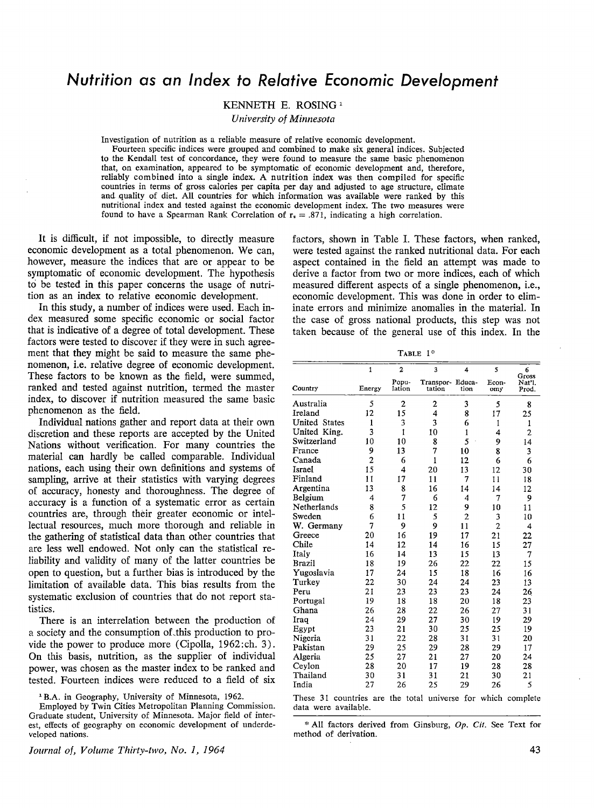# **Nutrition as an Index to Relative Economic Development**

KENNETH E. **ROSING** <sup>1</sup>

*University of Minnesota* 

Investigation of nutrition as a reliable measure of relative economic development.

Fourteen specific indices were grouped and combined to make six general indices. Subjected to the Kendall test of concordance, they were found to measure the same basic phenomenon that, on examination, appeared to be symptomatic of economic development and, therefore, reliably combined into a single index. A nutrition index was then compiled for specific countries in terms of gross calories per capita per day and adjusted to age structure, climate and quality of diet. All countries for which information was available were ranked by this nutritional index and tested against the economic development index. The two measures were found to have a Spearman Rank Correlation of  $r_s = .871$ , indicating a high correlation.

It is difficult, if not impossible, to directly measure economic development as a total phenomenon. We can, however, measure the indices that are or appear to be symptomatic of economic development. The hypothesis to be tested in this paper concerns the usage of nutrition as an index to relative economic development.

In this study, a number of indices were used. Each index measured some specific economic or social factor that is indicative of a degree of total development. These factors were tested to discover if they were in such agreement that they might be said to measure the same phenomenon, i.e. relative degree of economic development. These factors to be known as the field, were summed, ranked and tested against nutrition, termed the master index, to discover if nutrition measured the same basic phenomenon as the field.

Individual nations gather and report data at their own discretion and these reports are accepted by the United Nations without verification. For many countries the material can hardly be called comparable. Individual nations, each using their own definitions and systems of sampling, arrive at their statistics with varying degrees of accuracy, honesty and thoroughness. The degree of accuracy is a function of a systematic error as certain countries are, through their greater economic or intellectual resources, much more thorough and reliable in the gathering of statistical data than other countries that are less well endowed. Not only can the statistical reliability and validity of many of the latter countries be open to question, but a further bias is introduced by the limitation of available data. This bias results from the systematic exclusion of countries that do not report statistics.

There is an interrelation between the production of a society and the consumption of this production to provide the power to produce more (Cipolla, 1962: ch. 3). On this basis, nutrition, as the supplier of individual power, was chosen as the master index to be ranked and tested. Fourteen indices were reduced to a field of six

<sup>1</sup> B.A. in Geography, University of Minnesota, 1962.

Employed by Twin Cities Metropolitan Planning Commission. Graduate student, University of Minnesota. Major field of interest, effects of geography on economic development of underdeveloped nations.

*Journal of, Volume Thirty-two, No. 1, 1964* 

factors, shown in Table I. These factors, when ranked, were tested against the ranked nutritional data. For each aspect contained in the field an attempt was made to derive a factor from two or more indices, each of which measured different aspects of a single phenomenon, i.e., economic development. This was done in order to eliminate errors and minimize anomalies in the material. In the case of gross national products, this step was not taken because of the general use of this index. In the

TABLE  $1$ <sup>\*</sup>

|                                                              | $\mathbf{1}$   | $\overline{2}$  | 3                          | 4              | 5              | 6<br>Gross      |
|--------------------------------------------------------------|----------------|-----------------|----------------------------|----------------|----------------|-----------------|
| Country                                                      | Energy         | Popu-<br>lation | Transpor- Educa-<br>tation | tion           | Econ-<br>omy   | Nat'l.<br>Prod. |
| Australia                                                    | 5              | $\overline{c}$  | $\overline{2}$             | 3              | 5              | 8               |
| Ireland                                                      | 12             | 15              | 4                          | 8              | 17             | 25              |
| <b>United States</b>                                         | $\mathbf{1}$   | 3               | 3                          | 6              | 1              | 1               |
| United King.                                                 | 3              | 1               | 10                         | $\mathbf 1$    | 4              | $\overline{2}$  |
| Switzerland                                                  | 10             | 10              | 8                          | 5              | 9              | 14              |
| France                                                       | 9              | 13              | 7                          | 10             | 8              | 3               |
| Canada                                                       | $\overline{2}$ | 6               | $\mathbf{1}$               | 12             | 6              | 6               |
| Israel                                                       | 15             | 4               | 20                         | 13             | 12             | 30              |
| Finland                                                      | 11             | 17              | 11                         | 7              | 11             | 18              |
| Argentina                                                    | 13             | 8               | 16                         | 14             | 14             | 12              |
| Belgium                                                      | 4              | 7               | 6                          | 4              | 7              | 9               |
| Netherlands                                                  | 8              | 5               | 12                         | 9              | 10             | 11              |
| Sweden                                                       | 6              | 11              | 5                          | $\overline{2}$ | 3              | 10              |
| W. Germany                                                   | 7              | 9               | 9                          | 11             | $\overline{2}$ | 4               |
| Greece                                                       | 20             | 16              | 19                         | 17             | 21             | 22              |
| Chile                                                        | 14             | 12              | 14                         | 16             | 15             | 27              |
| Italy                                                        | 16             | 14              | 13                         | 15             | 13             | 7               |
| <b>Brazil</b>                                                | 18             | 19              | 26                         | 22             | 22             | 15              |
| Yugoslavia                                                   | 17             | 24              | 15                         | 18             | 16             | 16              |
| Turkey                                                       | 22             | 30              | 24                         | 24             | 23             | 13              |
| Peru                                                         | 21             | 23              | 23                         | 23             | 24             | 26              |
| Portugal                                                     | 19             | 18              | 18                         | 20             | 18             | 23              |
| Ghana                                                        | 26             | 28              | 22                         | 26             | 27             | 31              |
| Iraq                                                         | 24             | 29              | 27                         | 30             | 19             | 29              |
| Egypt                                                        | 23             | 21              | 30                         | 25             | 25             | 19              |
| Nigeria                                                      | 31             | 22              | 28                         | 31             | 31             | 20              |
| Pakistan                                                     | 29             | 25              | 29                         | 28             | 29             | 17              |
| Algeria                                                      | 25             | 27              | 21                         | 27             | 20             | 24              |
| Ceylon                                                       | 28             | 20              | 17                         | 19             | 28             | 28              |
| Thailand                                                     | 30             | 31              | 31                         | 21             | 30             | 21              |
| India                                                        | 27             | 26              | 25                         | 29             | 26             | 5               |
| These 31 countries are the total universe for which complete |                |                 |                            |                |                |                 |

data were available.

\* All factors derived from Ginsburg, *Op. Cit.* See Text for method of derivation.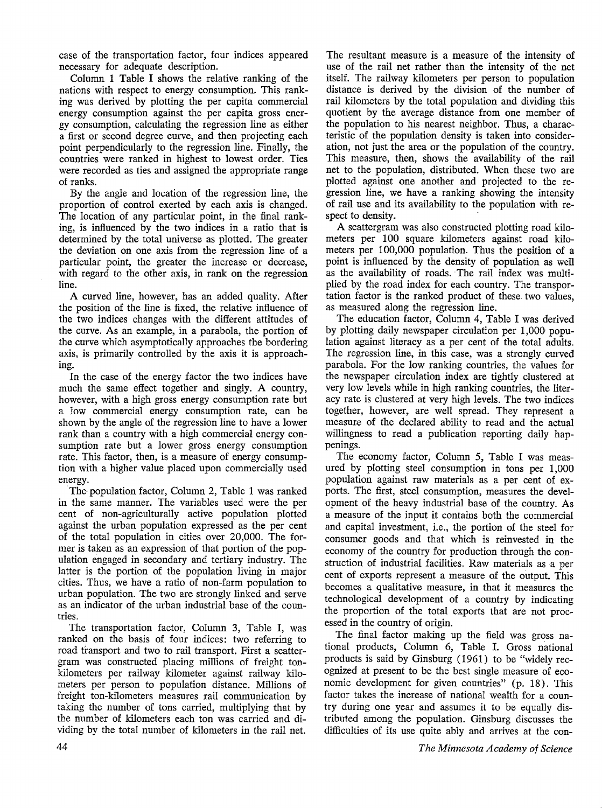case of the transportation factor, four indices appeared necessary for adequate description.

Column 1 Table I shows the relative ranking of the nations with respect to energy consumption. This ranking was derived by plotting the per capita commercial energy consumption against the per capita gross energy consumption, calculating the regression line as either a first or second degree curve, and then projecting each point perpendicularly to the regression line. Finally, the countries were ranked in highest to lowest order. Ties were recorded as ties and assigned the appropriate range of ranks.

By the angle and location of the regression line, the proportion of control exerted by each axis is changed. The location of any particular point, in the final ranking, is influenced by the two indices in a ratio that is determined by the total universe as plotted. The greater the deviation on one axis from the regression line of a particular point, the greater the increase or decrease, with regard to the other axis, in rank on the regression line.

A curved line, however, has an added quality. After the position of the line is fixed, the relative influence of the two indices changes with the different attitudes of the curve. As an example, in a parabola, the portion of the curve which asymptotically approaches the bordering axis, is primarily controlled by the axis it is approaching.

In the case of the energy factor the two indices have much the same effect together and singly. A country, however, with a high gross energy consumption rate but a low commercial energy consumption rate, can be shown by the angle of the regression line to have a lower rank than a country with a high commercial energy consumption rate but a lower gross energy consumption rate. This factor, then, is a measure of energy consumption with a higher value placed upon commercially used energy.

The population factor, Column 2, Table 1 was ranked in the same manner. The variables used were the per cent of non-agriculturally active population plotted against the urban population expressed as the per cent of the total population in cities over 20,000. The former is taken as an expression of that portion of the population engaged in secondary and tertiary industry. The latter is the portion of the population living in major cities. Thus, we have a ratio of non-farm population to urban population. The two are strongly linked and serve as an indicator of the urban industrial base of the countries.

The transportation factor, Column 3, Table I, was ranked on the basis of four indices: two referring to road transport and two to rail transport. First a scattergram was constructed placing millions of freight tonkilometers per railway kilometer against railway kilometers per person to population distance. Millions of freight ton-kilometers measures rail communication by taking the number of tons carried, multiplying that by the number of kilometers each ton was carried and dividing by the total number of kilometers in the rail net.

The resultant measure is a measure of the intensity of use of the rail net rather than the intensity of the net itself. The railway kilometers per person to population distance is derived by the division of the number of rail kilometers by the total population and dividing this quotient by the average distance from one member of the population to his nearest neighbor. Thus, a characteristic of the population density is taken into consideration, not just the area or the population of the country. This measure, then, shows the availability of the rail net to the population, distributed. When these two are plotted against one another and projected to the regression line, we have a ranking showing the intensity of rail use and its availability to the population with respect to density.

A scattergram was also constructed plotting road kilometers per 100 square kilometers against road kilometers per 100,000 population. Thus the position of a point is influenced by the density of population as well as the availability of roads. The rail index was multiplied by the road index for each country. The transportation factor is the ranked product of these two values, as measured along the regression line.

The education factor, Column 4, Table I was derived by plotting daily newspaper circulation per 1,000 population against literacy as a per cent of the total adults. The regression line, in this case, was a strongly curved parabola. For the low ranking countries, the values for the newspaper circulation index are tightly clustered at very low levels while in high ranking countries, the literacy rate is clustered at very high levels. The two indices together, however, are well spread. They represent a measure of the declared ability to read and the actual willingness to read a publication reporting daily happenings.

The economy factor, Column 5, Table I was measured by plotting steel consumption in tons per 1,000 population against raw materials as a per cent of exports. The first, steel consumption, measures the development of the heavy industrial base of the country. As a measure of the input it contains both the commercial and capital investment, i.e., the portion of the steel for consumer goods and that which is reinvested in the economy of the country for production through the construction of industrial facilities. Raw materials as a per cent of exports represent a measure of the output. This becomes a qualitative measure, in that it measures the technological development of a country by indicating the proportion of the total exports that are not processed in the country of origin.

The final factor making up the field was gross national products, Column 6, Table I. Gross national products is said by Ginsburg (1961) to be "widely recognized at present to be the best single measure of economic development for given countries" (p. 18). This factor takes the increase of national wealth for a country during one year and assumes it to be equally distributed among the population. Ginsburg discusses the difficulties of its use quite ably and arrives at the con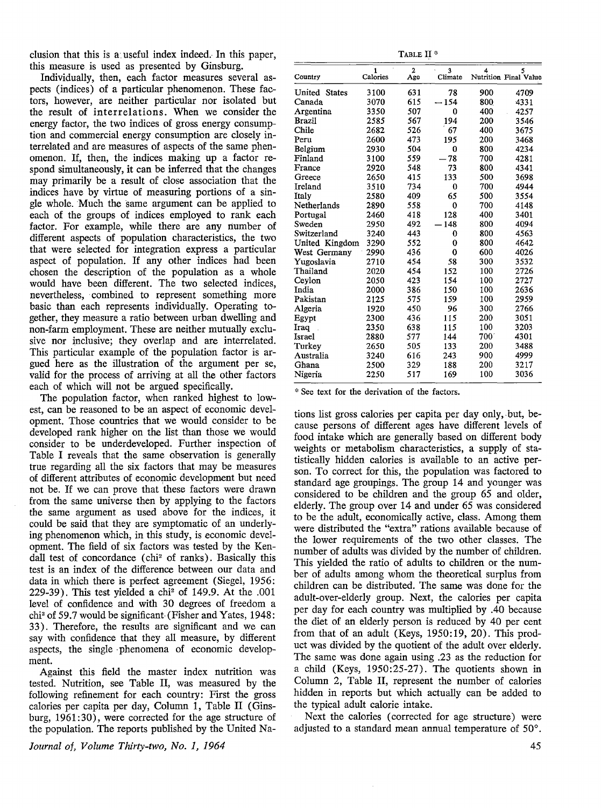clusion that this is a useful index indeed. In this paper, this measure is used as presented by Ginsburg.

Individually, then, each factor measures several aspects (indices) of a particular phenomenon. These factors, however, are neither particular nor isolated but the result of interrelations. When we consider the energy factor, the two indices of gross energy consumption and commercial energy consumption are closely interrelated and are measures of aspects of the same phenomenon. If, then, the indices making up a factor respond simultaneously, it can be inferred that the changes may primarily be a result of close association that the indices have by virtue of measuring portions of a single whole. Much the same argument can be applied to each of the groups of indices employed to rank each factor. For example, while there are any number of different aspects of population characteristics, the two that were selected for integration express a particular aspect of population. If any other indices had been chosen the description of the population as a whole would have been different. The two selected indices, nevertheless, combined to represent something more basic than each represents individually. Operating together, they measure a ratio between urban dwelling and non-farm employment. These are neither mutually exclusive nor inclusive; they overlap and are interrelated. This particular example of the population factor is argued here as the illustration of the argument per se, valid for the process of arriving at all the other factors each of which will not be argued specifically.

The population factor, when ranked highest to lowest, can be reasoned to be an aspect of economic development. Those countries that we would consider to be developed rank higher on the list than those we would consider to be underdeveloped. Further inspection of Table I reveals that the same observation is generally true regarding all the six factors that may be measures of different attributes of economic development but need not be. If we can prove that these factors were drawn from the same universe then by applying to the factors the same argument as used above for the indices, it could be said that they are symptomatic of an underlying phenomenon which, in this study, is economic development. The field of six factors was tested by the Kendall test of concordance (chi<sup>2</sup> of ranks). Basically this test is an index of the difference between our data and data in which there is perfect agreement (Siegel, 1956: 229-39). This test yielded a chi<sup>2</sup> of 149.9. At the .001 level of confidence and with 30 degrees of freedom a chi<sup>2</sup> of 59.7 would be significant-(Fisher and Yates, 1948: 33). Therefore, the results are significant and we can say with confidence that they all measure, by different aspects, the single · phenomena of economic development.

Against this field the master index nutrition was tested. Nutrition, see Table II, was measured by the following refinement for each country: First the gross calories per capita per day, Column 1, Table II (Ginsburg, 1961:30), were corrected for the age structure of the population. The reports published by the United Na-

*Journal of, Volume Thirty-two, No. 1, 1964* 

| F<br>ART. |  |
|-----------|--|
|           |  |

| Country              | $\mathbf{1}$<br>Calories | $\overline{2}$<br>Age | 3<br>Climate   | 4           | 5<br>Nutrition Final Value |
|----------------------|--------------------------|-----------------------|----------------|-------------|----------------------------|
| <b>United States</b> | 3100                     | 631                   | 78             | 900         | 4709                       |
| Canada               | 3070                     | 615                   | $-154$         | 800         | 4331                       |
| Argentina            | 3350                     | 507                   | 0              | 400         | 4257                       |
| <b>Brazil</b>        | 2585                     | 567                   | 194            | 200         | 3546                       |
| Chile                | 2682                     | 526                   | 67             | 400         | 3675                       |
| Peru                 | 2600                     | 473                   | 195            | 200         | 3468                       |
| Belgium              | 2930                     | 504                   | 0              | 800         | 4234                       |
| Finland              | 3100                     | 559                   | $-78$          | 700         | 4281                       |
| France               | 2920                     | 548                   | 73             | 800         | 4341                       |
| Greece               | 2650                     | 415                   | 133            | 500         | 3698                       |
| Ireland              | 3510                     | 734                   | 0              | 700         | 4944                       |
| Italy                | 2580                     | 409                   | 65             | 500         | 3554                       |
| Netherlands          | 2890                     | 558                   | $\bf{0}$       | 700         | 4148                       |
| Portugal             | 2460                     | 418                   | 128            | 400         | 3401                       |
| Sweden               | 2950                     | 492                   | $-148$         | 800         | 4094                       |
| Switzerland          | 3240                     | 443                   | 0              | 800         | 4563                       |
| United Kingdom       | 3290                     | 552                   | $\overline{0}$ | 800         | 4642                       |
| West Germany         | 2990                     | 436                   | $\bf{0}$       | 600         | 4026                       |
| Yugoslavia           | 2710                     | 454                   | 58             | 300         | 3532                       |
| Thailand             | 2020                     | 454                   | 152            | 100         | 2726                       |
| Ceylon               | 2050                     | 423                   | 154            | 100         | 2727                       |
| India                | 2000                     | 386                   | 150            | 100         | 2636                       |
| Pakistan             | 2125                     | 575                   | 159            | 100         | 2959                       |
| Algeria              | 1920                     | 450                   | 96             | 300         | 2766                       |
| Egypt                | 2300                     | 436                   | 115            | 200         | 3051                       |
| Iraq                 | 2350                     | 638                   | 115            | 100         | 3203                       |
| Israel               | 2880                     | 577                   | 144            | $700^\circ$ | 4301                       |
| Turkev               | 2650                     | 505                   | 133            | 200         | 3488                       |
| Australia            | 3240                     | 616                   | 243            | 900         | 4999                       |
| Ghana                | 2500                     | 329                   | 188            | 200         | 3217                       |
| Nigeria              | 2250                     | 517                   | 169            | 100         | 3036                       |

\* See text for the derivation of the factors.

tions list gross calories per capita per day only,. but, because persons of different ages have different levels of food intake which are generally based on different body weights or metabolism characteristics, a supply of statistically hidden calories is available to an active person. To correct for this, the population was factored to standard age groupings. The group 14 and younger was considered to be children and the group 65 and older, elderly. The group over 14 and under 65 was considered to be the adult, economically active, class. Among them were distributed the "extra" rations available because of the lower requirements of the two other classes. The number of adults was divided by the number of children. This yielded the ratio of adults to children or the number of adults among whom the theoretical surplus from children can be distributed. The same was done for the adult-over-elderly group. Next, the calories per capita per day for each country was multiplied by .40 because the diet of an elderly person is reduced by 40 per cent from that of an adult (Keys, 1950:19, 20). This product was divided by the quotient of the adult over elderly. The same was done again using .23 as the reduction for a child (Keys, 1950:25-27). The quotients shown in Column 2, Table II, represent the number of calories hidden in reports but which actually can be added to the typical adult calorie intake.

Next the calories ( corrected for age structure) were adjusted to a standard mean annual temperature of 50°.